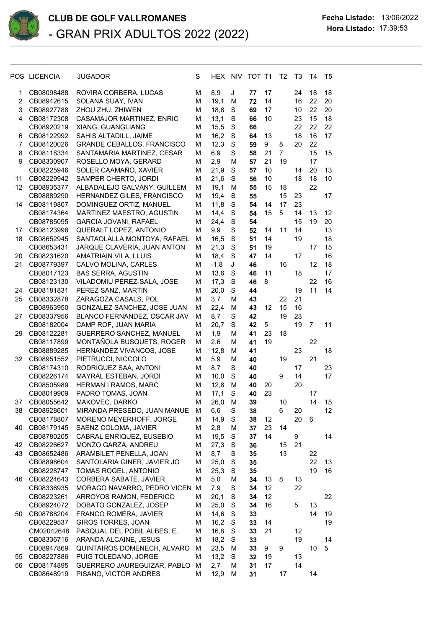

|                | POS LICENCIA | <b>JUGADOR</b>                    | S | HEX NIV |             | TOT T1 |    | T2             | T3 | T4             | T5 |
|----------------|--------------|-----------------------------------|---|---------|-------------|--------|----|----------------|----|----------------|----|
| 1              | CB08098488   | ROVIRA CORBERA, LUCAS             | Μ | 8,9     | J           | 77     | 17 |                | 24 | 18             | 18 |
| $\overline{2}$ | CB08942615   | SOLANA SUAY, IVAN                 | М | 19,1    | M           | 72     | 14 |                | 16 | 22             | 20 |
| 3              | CB08927788   | ZHOU ZHU, ZHIWEN                  | М | 18,8    | S           | 69     | 17 |                | 10 | 22             | 20 |
| 4              | CB08172308   | CASAMAJOR MARTINEZ, ENRIC         | Μ | 13,1    | S           | 66     | 10 |                | 23 | 15             | 18 |
|                | CB08920219   | XIANG, GUANGLIANG                 | М | 15,5    | $\mathbf S$ | 66     |    |                | 22 | 22             | 22 |
| 6              | CB08122992   | SAHIS ALTADILL, JAIME             | M | 16,2    | $\mathbf S$ | 64     | 13 |                | 18 | 16             | 17 |
| 7              | CB08120026   | <b>GRANDE CEBALLOS, FRANCISCO</b> | М | 12,3    | $\mathbf S$ | 59     | 9  | 8              | 20 | 22             |    |
| 8              | CB08118334   | SANTAMARIA MARTINEZ, CESAR        | M | 6,9     | S           | 58     | 21 | $\overline{7}$ |    | 15             | 15 |
| 9              | CB08330907   | ROSELLO MOYA, GERARD              | М | 2,9     | M           | 57     | 21 | 19             |    | 17             |    |
|                | CB08225946   | SOLER CAAMAÑO, XAVIER             | M | 21,9    | $\mathbf S$ | 57     | 10 |                | 14 | 20             | 13 |
| 11             | CB08229942   | SAMPER CHERTO, JORDI              | Μ | 21,6    | S           | 56     | 10 |                | 18 | 18             | 10 |
| 12             | CB08935377   | ALBADALEJO GALVANY, GUILLEM       | М | 19,1    | М           | 55     | 15 | 18             |    | 22             |    |
|                | CB08889290   | HERNANDEZ GILES, FRANCISCO        | М | 19,4    | S           | 55     |    | 15             | 23 |                | 17 |
| 14             | CB08119807   | DOMINGUEZ ORTIZ, MANUEL           | М | 11,8    | S           | 54     | 14 | 17             | 23 |                |    |
|                | CB08174364   | MARTINEZ MAESTRO, AGUSTIN         | М | 14,4    | S           | 54     | 15 | 5              | 14 | 13             | 12 |
|                | CB08785095   | <b>GARCIA JOVANI, RAFAEL</b>      | М | 24,4    | $\mathbf S$ | 54     |    |                | 15 | 19             | 20 |
| 17             | CB08123998   | QUERALT LOPEZ, ANTONIO            | М | 9,9     | S           | 52     | 14 | 11             | 14 |                | 13 |
| 18             | CB08652945   | SANTAOLALLA MONTOYA, RAFAEL       | М | 16,5    | $\mathbf S$ | 51     | 14 |                | 19 |                | 18 |
|                | CB08653431   | JARQUE CLAVERIA, JUAN ANTON       | М | 21,3    | $\mathbf S$ | 51     | 19 |                |    | 17             | 15 |
| 20             | CB08231620   | <b>AMATRIAIN VILA, LLUIS</b>      | M | 18,4    | $\mathbf S$ | 47     | 14 |                | 17 |                | 16 |
| 21             | CB08779397   | CALVO MOLINA, CARLES              | М | $-1,8$  | J           | 46     |    | 16             |    | 12             | 18 |
|                | CB08017123   | <b>BAS SERRA, AGUSTIN</b>         | M | 13,6    | S           | 46     | 11 |                | 18 |                | 17 |
|                | CB08123130   | VILADOMIU PEREZ-SALA, JOSE        | М | 17,3    | $\mathbf S$ | 46     | 8  |                |    | 22             | 16 |
| 24             | CB08181831   | PEREZ SANZ, MARTIN                | М | 20,0    | S           | 44     |    |                | 19 | 11             | 14 |
| 25             | CB08332878   | ZARAGOZA CASALS, POL              | М | 3,7     | м           | 43     |    | 22             | 21 |                |    |
|                | CB08963950   | GONZALEZ SANCHEZ, JOSE JUAN       | Μ | 22,4    | M           | 43     | 12 | 15             | 16 |                |    |
| 27             | CB08337956   | BLANCO FERNANDEZ, OSCAR JAV       | М | 8,7     | S           | 42     |    | 19             | 23 |                |    |
|                | CB08182004   | CAMP ROF, JUAN MARIA              | М | 20,7    | S           | 42     | 5  |                | 19 | $\overline{7}$ | 11 |
| 29             | CB08122281   | GUERRERO SANCHEZ, MANUEL          | M | 1,9     | M           | 41     | 23 | 18             |    |                |    |
|                | CB08117899   | MONTAÑOLA BUSQUETS, ROGER         | М | 2,6     | М           | 41     | 19 |                |    | 22             |    |
|                | CB08889285   | HERNANDEZ VIVANCOS, JOSE          | М | 12,8    | M           | 41     |    |                | 23 |                | 18 |
| 32             | CB08951552   | PIETRUCCI, NICCOLO                | Μ | 5,9     | M           | 40     |    | 19             |    | 21             |    |
|                | CB08174310   | RODRIGUEZ SAA, ANTONI             | М | 8,7     | $\mathbf S$ | 40     |    |                | 17 |                | 23 |
|                | CB08226174   | MAYRAL ESTEBAN, JORDI             | М | 10,0    | $\mathbf S$ | 40     |    | 9              | 14 |                | 17 |
|                | CB08505989   | HERMAN I RAMOS, MARC              | М | 12,8    | м           | 40     | 20 |                | 20 |                |    |
|                | CB08019909   | PADRO TOMAS, JOAN                 | М | 17,1    | S           | 40     | 23 |                |    | 17             |    |
| 37             | CB08055642   | MAKOVEC, DARKO                    | M | 26,0    | M           | 39     |    | 10             |    | 14             | 15 |
| 38             | CB08928601   | MIRANDA PRESEDO, JUAN MANUE       | M | 6,6     | S           | 38     |    | $\,6$          | 20 |                | 12 |
|                | CB08178807   | MORENO MEYERHOFF, JORGE           | M | 14,9    | S           | 38     | 12 |                | 20 | 6              |    |
| 40             | CB08179145   | SAENZ COLOMA, JAVIER              | М | 2,8     | M           | 37     | 23 | 14             |    |                |    |
|                | CB08780205   | CABRAL ENRIQUEZ, EUSEBIO          | Μ | 19,5    | S           | 37     | 14 |                | 9  |                | 14 |
| 42             | CB08226627   | MONZO GARZA, ANDREU               | Μ | 27,3    | S           | 36     |    | 15             | 21 |                |    |
| 43             | CB08652486   | ARAMBILET PENELLA, JOAN           | Μ | 8,7     | S           | 35     |    | 13             |    | 22             |    |
|                | CB08898604   | SANTOLARIA GINER, JAVIER JO       | Μ | 25,0    | $\mathbf S$ | 35     |    |                |    | 22             | 13 |
|                | CB08228747   | TOMAS ROGEL, ANTONIO              | Μ | 25,3    | S           | 35     |    |                |    | 19             | 16 |
| 46             | CB08224643   | CORBERA SABATE, JAVIER            | Μ | 5,0     | M           | 34     | 13 | 8              | 13 |                |    |
|                | CB08336935   | MORAGO NAVARRO, PEDRO VICEN M     |   | 7,9     | S           | 34     | 12 |                | 22 |                |    |
|                | CB08223261   | ARROYOS RAMON, FEDERICO           | M | 20,1    | S           | 34     | 12 |                |    |                | 22 |
|                | CB08924072   | DOBATO GONZALEZ, JOSEP            | Μ | 25,0    | $\mathbf S$ | 34     | 16 |                | 5  | 13             |    |
| 50             | CB08788204   | FRANCO ROMERA, JAVIER             | М | 14,6    | S           | 33     |    |                |    | 14             | 19 |
|                | CB08229537   | GIROS TORRES, JOAN                | М | 16,2    | S           | 33     | 14 |                |    |                | 19 |
|                | CM02042648   | PASQUAL DEL POBIL ALBES, E.       | M | 16,8    | $\mathbf S$ | 33     | 21 |                | 12 |                |    |
|                | CB08336716   | ARANDA ALCAINE, JESUS             | м | 18,2    | S           | 33     |    |                | 19 |                | 14 |
|                | CB08947869   | QUINTAIROS DOMENECH, ALVARO       | M | 23,5    | M           | 33     | 9  | 9              |    | 10             | 5  |
| 55             | CB08227886   | PUIG TOLEDANO, JORGE              | M | 13,2    | S           | 32     | 19 |                | 13 |                |    |
| 56             | CB08174895   | GUERRERO JAUREGUIZAR, PABLO M     |   | 2,7     | M           | 31     | 17 |                | 14 |                |    |
|                | CB08648919   | PISANO, VICTOR ANDRES             | М | 12,9    | М           | 31     |    | 17             |    | 14             |    |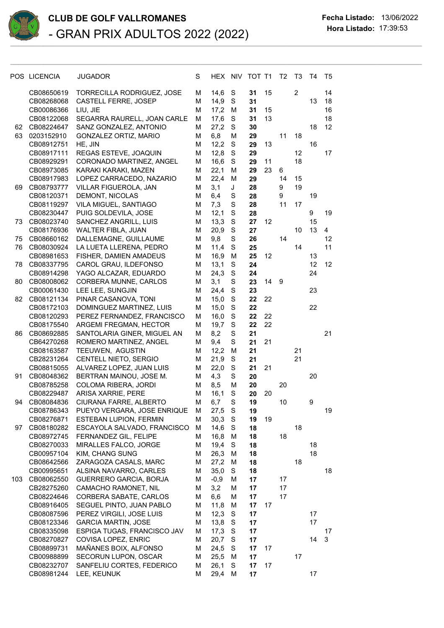

|     | POS LICENCIA             | <b>JUGADOR</b>                                        | S      | HEX NIV TOT T1 |             |          |    | T <sub>2</sub> | T <sub>3</sub> | Τ4 | T5             |
|-----|--------------------------|-------------------------------------------------------|--------|----------------|-------------|----------|----|----------------|----------------|----|----------------|
|     | CB08650619               | TORRECILLA RODRIGUEZ, JOSE                            | М      | 14,6           | S           | 31       | 15 |                | $\overline{2}$ |    | 14             |
|     | CB08268068               | <b>CASTELL FERRE, JOSEP</b>                           | M      | 14,9           | S           | 31       |    |                |                | 13 | 18             |
|     | CB00086366               | LIU, JIE                                              | м      | 17,2           | M           | 31       | 15 |                |                |    | 16             |
|     | CB08122068               | SEGARRA RAURELL, JOAN CARLE                           | M      | 17,6           | $\mathbf S$ | 31       | 13 |                |                |    | 18             |
| 62  | CB08224647               | SANZ GONZALEZ, ANTONIO                                | M<br>M | 27,2           | S<br>M      | 30       |    | 11             | 18             | 18 | 12             |
| 63  | 0203152910<br>CB08912751 | GONZALEZ ORTIZ, MARIO<br>HE, JIN                      | M      | 6,8<br>12,2    | S           | 29<br>29 | 13 |                |                | 16 |                |
|     | CB08917111               | REGAS ESTEVE, JOAQUIN                                 | M      | 12,8           | S           | 29       |    |                | 12             |    | 17             |
|     | CB08929291               | CORONADO MARTINEZ, ANGEL                              | M      | 16,6           | S           | 29       | 11 |                | 18             |    |                |
|     | CB08973085               | KARAKI KARAKI, MAZEN                                  | M      | 22,1           | M           | 29       | 23 | 6              |                |    |                |
|     | CB08917983               | LOPEZ CARRACEDO, NAZARIO                              | M      | 22,4           | M           | 29       |    | 14             | 15             |    |                |
| 69  | CB08793777               | VILLAR FIGUEROLA, JAN                                 | М      | 3,1            | J           | 28       |    | 9              | 19             |    |                |
|     | CB08120371               | DEMONT, NICOLAS                                       | М      | 6,4            | S           | 28       |    | 9              |                | 19 |                |
|     | CB08119297               | VILA MIGUEL, SANTIAGO                                 | М      | 7,3            | S           | 28       |    | 11             | 17             |    |                |
|     | CB08230447               | PUIG SOLDEVILA, JOSE                                  | M      | 12,1           | S           | 28       |    |                |                | 9  | 19             |
| 73  | CB08023740               | SANCHEZ ANGRILL, LUIS                                 | M      | 13,3           | $\mathbf S$ | 27       | 12 |                |                | 15 |                |
|     | CB08176936               | WALTER FIBLA, JUAN                                    | M      | 20,9           | $\mathbf S$ | 27       |    |                | 10             | 13 | $\overline{4}$ |
| 75  | CB08660162               | DALLEMAGNE, GUILLAUME                                 | M      | 9,8            | $\mathbf S$ | 26       |    | 14             |                |    | 12             |
| 76  | CB08030924               | LA LUETA LLERENA, PEDRO                               | M      | 11,4           | $\mathbf S$ | 25       |    |                | 14             |    | 11             |
|     | CB08981653               | FISHER, DAMIEN AMADEUS                                | М      | 16,9           | M           | 25       | 12 |                |                | 13 |                |
| 78  | CB08337795               | CAROL GRAU, ILDEFONSO                                 | М      | 13,1           | S           | 24       |    |                |                | 12 | 12             |
|     | CB08914298               | YAGO ALCAZAR, EDUARDO                                 | М      | 24,3           | S           | 24       |    |                |                | 24 |                |
| 80  | CB08008062<br>CB00061430 | CORBERA MUNNE, CARLOS<br>LEE LEE, SUNGJIN             | М<br>M | 3,1<br>24,4    | S<br>S      | 23<br>23 | 14 | 9              |                | 23 |                |
| 82  | CB08121134               | PINAR CASANOVA, TONI                                  | M      | 15,0           | $\mathbf S$ | 22       | 22 |                |                |    |                |
|     | CB08172103               | DOMINGUEZ MARTINEZ, LUIS                              | M      | 15,0           | $\mathbf S$ | 22       |    |                |                | 22 |                |
|     | CB08120293               | PEREZ FERNANDEZ, FRANCISCO                            | M      | 16,0           | $\mathbf S$ | 22       | 22 |                |                |    |                |
|     | CB08175540               | ARGEMI FREGMAN, HECTOR                                | M      | 19,7           | S           | 22       | 22 |                |                |    |                |
| 86  | CB08692885               | SANTOLARIA GINER, MIGUEL AN                           | M      | 8,2            | S           | 21       |    |                |                |    | 21             |
|     | CB64270268               | ROMERO MARTINEZ, ANGEL                                | M      | 9,4            | $\mathbf S$ | 21       | 21 |                |                |    |                |
|     | CB08163587               | TEEUWEN, AGUSTIN                                      | M      | 12,2           | M           | 21       |    |                | 21             |    |                |
|     | CB28231264               | CENTELL NIETO, SERGIO                                 | M      | 21,9           | $\mathbf S$ | 21       |    |                | 21             |    |                |
|     | CB08815055               | ALVAREZ LOPEZ, JUAN LUIS                              | M      | 22,0           | S           | 21       | 21 |                |                |    |                |
| 91  | CB08048362               | BERTRAN MAINOU, JOSE M.                               | M      | 4,3            | S           | 20       |    |                |                | 20 |                |
|     | CB08785258               | COLOMA RIBERA, JORDI                                  | M      | 8,5            | M           | 20       |    | 20             |                |    |                |
|     | CB08229487               | ARISA XARRIE, PERE                                    | M      | 16,1           | $\mathbf S$ | 20       | 20 |                |                |    |                |
| 94  | CB08084836               | CIURANA FARRE, ALBERTO                                | М      | 6,7            | S           | 19       |    | 10             |                | 9  |                |
|     | CB08786343               | PUEYO VERGARA, JOSE ENRIQUE                           | M      | 27,5 S         |             | 19       |    |                |                |    | 19             |
|     | CB08276871<br>CB08180282 | ESTEBAN LUPION, FERMIN<br>ESCAYOLA SALVADO, FRANCISCO | M<br>M | 30,3           | S           | 19       | 19 |                | 18             |    |                |
| 97  | CB08972745               | FERNANDEZ GIL, FELIPE                                 | M      | 14,6<br>16,8   | S<br>M      | 18<br>18 |    | 18             |                |    |                |
|     | CB08270033               | MIRALLES FALCO, JORGE                                 | M      | 19,4           | S           | 18       |    |                |                | 18 |                |
|     | CB00957104               | KIM, CHANG SUNG                                       | M      | 26,3           | M           | 18       |    |                |                | 18 |                |
|     | CB08642566               | ZARAGOZA CASALS, MARC                                 | M      | 27,2           | M           | 18       |    |                | 18             |    |                |
|     | CB00995651               | ALSINA NAVARRO, CARLES                                | M      | 35,0           | S           | 18       |    |                |                |    | 18             |
| 103 | CB08062550               | GUERRERO GARCIA, BORJA                                | M      | $-0,9$         | М           | 17       |    | 17             |                |    |                |
|     | CB28275260               | CAMACHO RAMONET, NIL                                  | M      | 3,2            | М           | 17       |    | 17             |                |    |                |
|     | CB08224646               | CORBERA SABATE, CARLOS                                | M      | 6,6            | M           | 17       |    | 17             |                |    |                |
|     | CB08916405               | SEGUEL PINTO, JUAN PABLO                              | M      | 11,8           | M           | 17       | 17 |                |                |    |                |
|     | CB08087596               | PEREZ VIRGILI, JOSE LUIS                              | M      | 12,3           | S           | 17       |    |                |                | 17 |                |
|     | CB08123346               | <b>GARCIA MARTIN, JOSE</b>                            | M      | 13,8           | $\mathbf S$ | 17       |    |                |                | 17 |                |
|     | CB08335098               | ESPIGA TUGAS, FRANCISCO JAV                           | M      | 17,3           | S           | 17       |    |                |                |    | 17             |
|     | CB08270827               | COVISA LOPEZ, ENRIC                                   | M      | 20,7           | S           | 17       |    |                |                | 14 | 3              |
|     | CB08899731               | MAÑANES BOIX, ALFONSO                                 | M      | 24,5           | S           | 17       | 17 |                |                |    |                |
|     | CB00988899               | SECORUN LUPON, OSCAR                                  | M      | 25,5           | M           | 17       |    |                | 17             |    |                |
|     | CB08232707<br>CB08981244 | SANFELIU CORTES, FEDERICO<br>LEE, KEUNUK              | M<br>M | 26,1<br>29,4   | S<br>M      | 17<br>17 | 17 |                |                | 17 |                |
|     |                          |                                                       |        |                |             |          |    |                |                |    |                |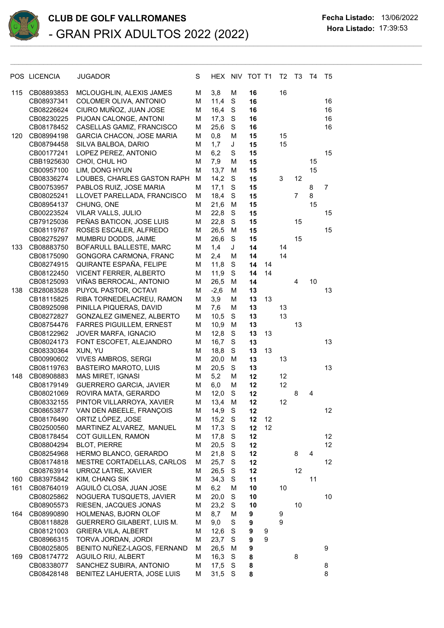

## **CLUB DE GOLF VALLROMANES Fecha Listado:** 13/06/2022 **Hora Listado:** 17:39:53 - GRAN PRIX ADULTOS 2022 (2022) \_\_\_\_\_\_\_\_\_\_\_\_\_\_\_\_\_\_\_\_\_\_\_\_\_\_\_\_\_\_\_\_\_\_\_\_\_\_\_\_\_\_\_\_\_\_\_\_\_\_\_\_\_\_\_\_\_\_\_\_\_\_\_\_\_\_\_\_\_\_\_\_\_\_\_\_\_\_\_\_\_\_\_\_\_\_\_\_\_\_\_\_\_\_\_\_\_\_

|     | POS LICENCIA             | <b>JUGADOR</b>                                          | S      | HEX NIV      |               | TOT T1   |    | T <sub>2</sub> | T <sub>3</sub> | T <sub>4</sub> | T5             |
|-----|--------------------------|---------------------------------------------------------|--------|--------------|---------------|----------|----|----------------|----------------|----------------|----------------|
| 115 | CB08893853               | MCLOUGHLIN, ALEXIS JAMES                                | M      | 3,8          | M             | 16       |    | 16             |                |                |                |
|     | CB08937341               | COLOMER OLIVA, ANTONIO                                  | M      | 11,4         | S             | 16       |    |                |                |                | 16             |
|     | CB08226624               | CIURO MUÑOZ, JUAN JOSE                                  | M      | 16,4         | S             | 16       |    |                |                |                | 16             |
|     | CB08230225               | PIJOAN CALONGE, ANTONI                                  | м      | 17,3         | $\mathbf S$   | 16       |    |                |                |                | 16             |
|     | CB08178452               | CASELLAS GAMIZ, FRANCISCO                               | M      | 25,6         | $\mathbf S$   | 16       |    |                |                |                | 16             |
| 120 | CB08994198               | <b>GARCIA CHACON, JOSE MARIA</b>                        | M      | 0,8          | M             | 15       |    | 15             |                |                |                |
|     | CB08794458               | SILVA BALBOA, DARIO                                     | М      | 1,7          | J             | 15       |    | 15             |                |                |                |
|     | CB00177241               | LOPEZ PEREZ, ANTONIO                                    | M      | 6,2          | S             | 15       |    |                |                |                | 15             |
|     | CBB1925630               | CHOI, CHUL HO                                           | M      | 7,9          | M             | 15       |    |                |                | 15             |                |
|     | CB00957100               | LIM, DONG HYUN                                          | M      | 13,7         | M             | 15       |    |                |                | 15             |                |
|     | CB08336274               | LOUBES, CHARLES GASTON RAPH                             | M      | 14,2         | $\mathbf S$   | 15       |    | 3              | 12             |                |                |
|     | CB00753957               | PABLOS RUIZ, JOSE MARIA                                 | M      | 17,1         | $\mathbf S$   | 15       |    |                |                | 8              | $\overline{7}$ |
|     | CB08025241               | LLOVET PARELLADA, FRANCISCO                             | M      | 18,4         | S             | 15       |    |                | $\overline{7}$ | 8              |                |
|     | CB08954137               | CHUNG, ONE                                              | м      | 21,6         | М             | 15       |    |                |                | 15             |                |
|     | CB00223524               | VILAR VALLS, JULIO                                      | M      | 22,8         | S             | 15       |    |                |                |                | 15             |
|     | CB79125036               | PEÑAS BATICON, JOSE LUIS                                | M      | 22,8         | S             | 15       |    |                | 15             |                |                |
|     | CB08119767               | ROSES ESCALER, ALFREDO                                  | м      | 26,5         | M             | 15       |    |                |                |                | 15             |
|     | CB08275297               | MUMBRU DODDS, JAIME                                     | M      | 26,6         | S             | 15       |    |                | 15             |                |                |
| 133 | CB08883750               | BOFARULL BALLESTE, MARC                                 | M      | 1,4          | J             | 14       |    | 14             |                |                |                |
|     | CB08175090               | GONGORA CARMONA, FRANC                                  | M      | 2,4          | M             | 14       |    | 14             |                |                |                |
|     | CB08274915               | QUIRANTE ESPAÑA, FELIPE                                 | M      | 11,8         | $\mathbf S$   | 14       | 14 |                |                |                |                |
|     | CB08122450               | <b>VICENT FERRER, ALBERTO</b>                           | M      | 11,9         | $\mathbf S$   | 14       | 14 |                |                |                |                |
|     | CB08125093               | VIÑAS BERROCAL, ANTONIO                                 | M      | 26,5         | M             | 14       |    |                | 4              | 10             |                |
| 138 | CB28083528               | PUYOL PASTOR, OCTAVI                                    | M      | $-2,6$       | M             | 13       |    |                |                |                | 13             |
|     | CB18115825               | RIBA TORNEDELACREU, RAMON                               | M      | 3,9          | M             | 13       | 13 |                |                |                |                |
|     | CB08925098               | PINILLA PIQUERAS, DAVID                                 | M      | 7,6          | M             | 13       |    | 13             |                |                |                |
|     | CB08272827               | GONZALEZ GIMENEZ, ALBERTO                               | M      | 10,5         | S             | 13       |    | 13             |                |                |                |
|     | CB08754476<br>CB08122962 | <b>FARRES PIGUILLEM, ERNEST</b><br>JOVER MARFA, IGNACIO | M<br>M | 10,9<br>12,8 | M<br>S        | 13<br>13 | 13 |                | 13             |                |                |
|     | CB08024173               | FONT ESCOFET, ALEJANDRO                                 | M      | 16,7         | S             | 13       |    |                |                |                | 13             |
|     | CB08330364               | XUN, YU                                                 | M      | 18,8         | $\mathbf S$   | 13       | 13 |                |                |                |                |
|     | CB00990602               | <b>VIVES AMBROS, SERGI</b>                              | M      | 20,0         | M             | 13       |    | 13             |                |                |                |
|     | CB08119763               | <b>BASTEIRO MAROTO, LUIS</b>                            | M      | 20,5         | $\mathbf S$   | 13       |    |                |                |                | 13             |
| 148 | CB08908883               | MAS MIRET, IGNASI                                       | M      | 5,2          | M             | 12       |    | 12             |                |                |                |
|     | CB08179149               | <b>GUERRERO GARCIA, JAVIER</b>                          | M      | 6,0          | M             | 12       |    | 12             |                |                |                |
|     | CB08021069               | ROVIRA MATA, GERARDO                                    | M      | 12,0         | $\mathbf S$   | 12       |    |                | 8              | 4              |                |
|     | CB08332155               | PINTOR VILLARROYA, XAVIER                               | M      | 13,4         | M             | 12       |    | 12             |                |                |                |
|     | CB08653877               | VAN DEN ABEELE, FRANÇOIS                                | М      | 14,9         | S             | 12       |    |                |                |                | 12             |
|     | CB08176490               | ORTIZ LÓPEZ, JOSE                                       | M      | 15,2         | S             | 12       | 12 |                |                |                |                |
|     | CB02500560               | MARTINEZ ALVAREZ, MANUEL                                | M      | 17,3         | S             | 12       | 12 |                |                |                |                |
|     | CB08178454               | COT GUILLEN, RAMON                                      | M      | 17,8         | S             | 12       |    |                |                |                | 12             |
|     | CB08804294               | <b>BLOT, PIERRE</b>                                     | M      | 20,5         | S             | 12       |    |                |                |                | 12             |
|     | CB08254968               | HERMO BLANCO, GERARDO                                   | M      | 21,8         | $\mathbf S$   | 12       |    |                | 8              | 4              |                |
|     | CB08174818               | MESTRE CORTADELLAS, CARLOS                              | M      | 25,7         | $\mathbf S$   | 12       |    |                |                |                | 12             |
|     | CB08763914               | URROZ LATRE, XAVIER                                     | M      | 26,5         | $\mathbf S$   | 12       |    |                | 12             |                |                |
| 160 | CB83975842               | KIM, CHANG SIK                                          | M      | 34,3         | ${\mathsf S}$ | 11       |    |                |                | 11             |                |
| 161 | CB08764019               | AGUILÓ CLOSA, JUAN JOSE                                 | M      | 6,2          | M             | 10       |    | 10             |                |                |                |
|     | CB08025862               | NOGUERA TUSQUETS, JAVIER                                | M      | 20,0         | S             | 10       |    |                |                |                | 10             |
|     | CB08905573               | RIESEN, JACQUES JONAS                                   | M      | 23,2         | $\mathbf S$   | 10       |    |                | 10             |                |                |
| 164 | CB08990890               | HOLMENAS, BJORN OLOF                                    | M      | 8,7          | M             | 9        |    | 9              |                |                |                |
|     | CB08118828               | <b>GUERRERO GILABERT, LUIS M.</b>                       | М      | 9,0          | S             | 9        |    | 9              |                |                |                |
|     | CB08121003               | <b>GRIERA VILA, ALBERT</b>                              | м      | 12,6         | $\mathbf S$   | 9        | 9  |                |                |                |                |
|     | CB08966315               | TORVA JORDAN, JORDI                                     | M      | 23,7         | S             | 9        | 9  |                |                |                |                |
|     | CB08025805               | BENITO NUÑEZ-LAGOS, FERNAND                             | M      | 26,5         | M             | 9        |    |                |                |                | 9              |
| 169 | CB08174772               | AGUILO RIU, ALBERT                                      | M      | 16,3         | $\mathbf S$   | 8        |    |                | 8              |                |                |
|     | CB08338077               | SANCHEZ SUBIRA, ANTONIO                                 | M      | 17,5         | S             | 8        |    |                |                |                | 8              |
|     | CB08428148               | BENITEZ LAHUERTA, JOSE LUIS                             | М      | 31,5         | S             | 8        |    |                |                |                | 8              |